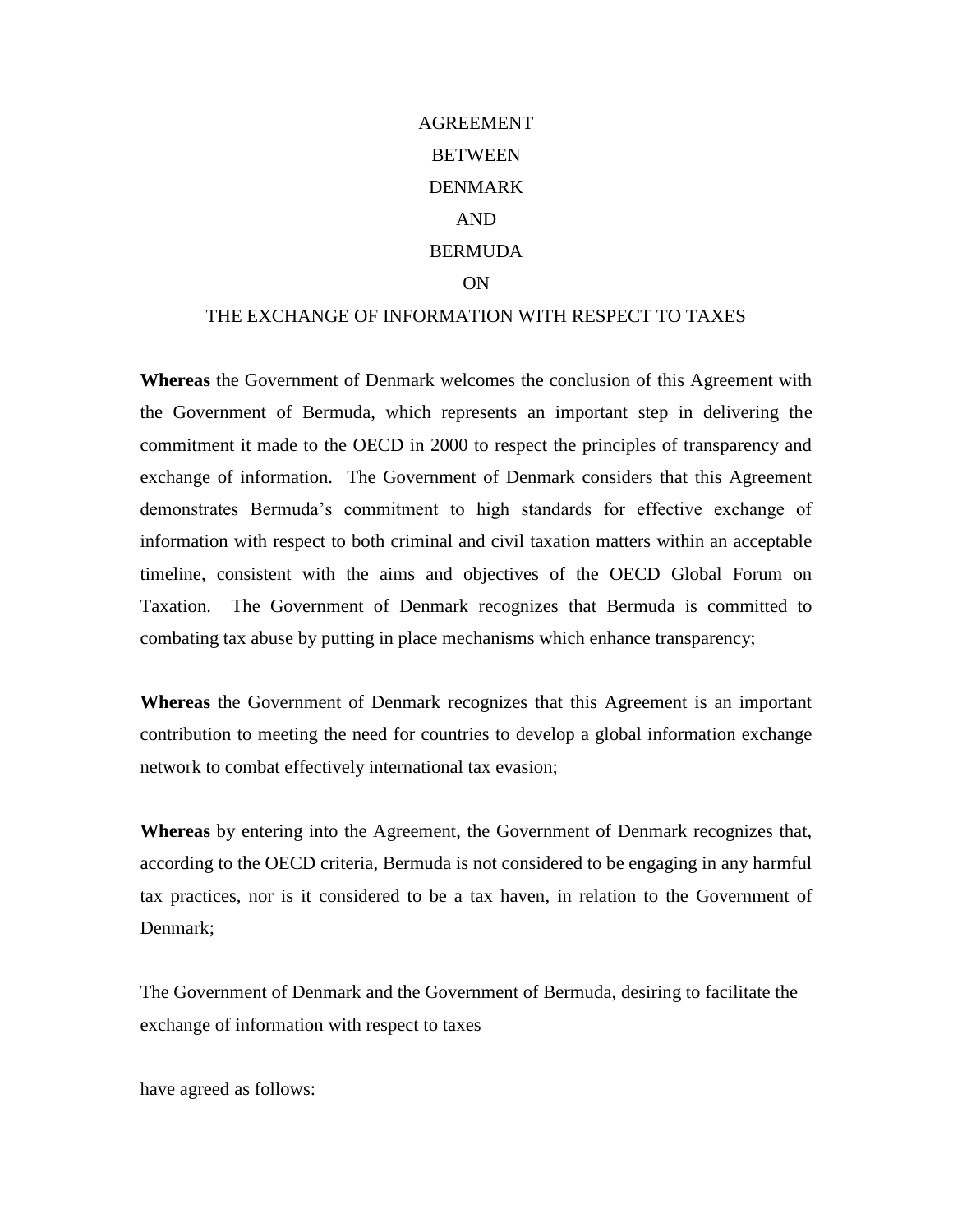# AGREEMENT **BETWEEN** DENMARK AND **BERMUDA** ON

# THE EXCHANGE OF INFORMATION WITH RESPECT TO TAXES

**Whereas** the Government of Denmark welcomes the conclusion of this Agreement with the Government of Bermuda, which represents an important step in delivering the commitment it made to the OECD in 2000 to respect the principles of transparency and exchange of information. The Government of Denmark considers that this Agreement demonstrates Bermuda's commitment to high standards for effective exchange of information with respect to both criminal and civil taxation matters within an acceptable timeline, consistent with the aims and objectives of the OECD Global Forum on Taxation. The Government of Denmark recognizes that Bermuda is committed to combating tax abuse by putting in place mechanisms which enhance transparency;

**Whereas** the Government of Denmark recognizes that this Agreement is an important contribution to meeting the need for countries to develop a global information exchange network to combat effectively international tax evasion;

**Whereas** by entering into the Agreement, the Government of Denmark recognizes that, according to the OECD criteria, Bermuda is not considered to be engaging in any harmful tax practices, nor is it considered to be a tax haven, in relation to the Government of Denmark;

The Government of Denmark and the Government of Bermuda, desiring to facilitate the exchange of information with respect to taxes

have agreed as follows: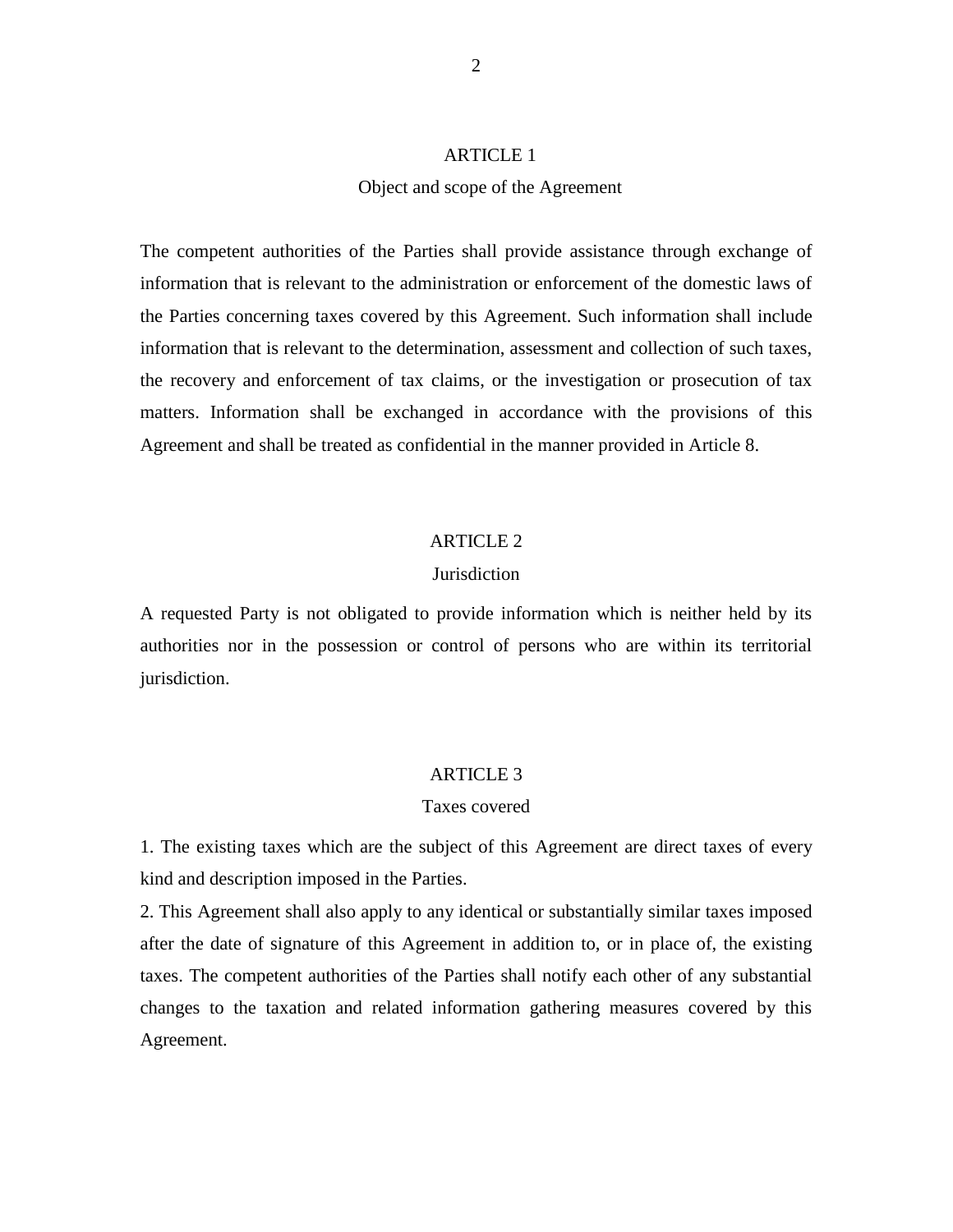# ARTICLE 1

# Object and scope of the Agreement

The competent authorities of the Parties shall provide assistance through exchange of information that is relevant to the administration or enforcement of the domestic laws of the Parties concerning taxes covered by this Agreement. Such information shall include information that is relevant to the determination, assessment and collection of such taxes, the recovery and enforcement of tax claims, or the investigation or prosecution of tax matters. Information shall be exchanged in accordance with the provisions of this Agreement and shall be treated as confidential in the manner provided in Article 8.

# ARTICLE 2

# **Jurisdiction**

A requested Party is not obligated to provide information which is neither held by its authorities nor in the possession or control of persons who are within its territorial jurisdiction.

#### ARTICLE 3

# Taxes covered

1. The existing taxes which are the subject of this Agreement are direct taxes of every kind and description imposed in the Parties.

2. This Agreement shall also apply to any identical or substantially similar taxes imposed after the date of signature of this Agreement in addition to, or in place of, the existing taxes. The competent authorities of the Parties shall notify each other of any substantial changes to the taxation and related information gathering measures covered by this Agreement.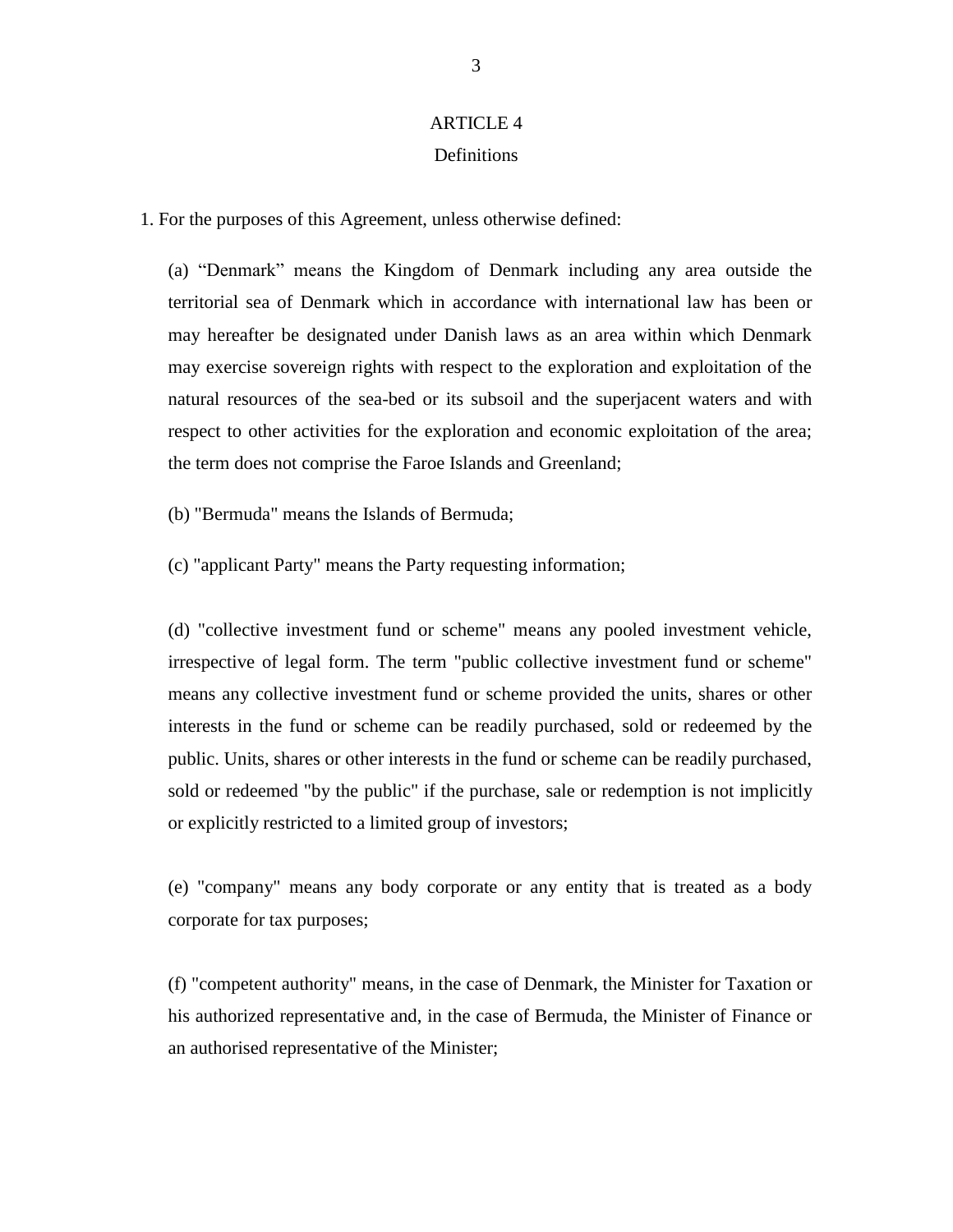# ARTICLE 4 Definitions

1. For the purposes of this Agreement, unless otherwise defined:

(a) "Denmark" means the Kingdom of Denmark including any area outside the territorial sea of Denmark which in accordance with international law has been or may hereafter be designated under Danish laws as an area within which Denmark may exercise sovereign rights with respect to the exploration and exploitation of the natural resources of the sea-bed or its subsoil and the superjacent waters and with respect to other activities for the exploration and economic exploitation of the area; the term does not comprise the Faroe Islands and Greenland;

(b) "Bermuda" means the Islands of Bermuda;

(c) "applicant Party" means the Party requesting information;

(d) "collective investment fund or scheme" means any pooled investment vehicle, irrespective of legal form. The term "public collective investment fund or scheme" means any collective investment fund or scheme provided the units, shares or other interests in the fund or scheme can be readily purchased, sold or redeemed by the public. Units, shares or other interests in the fund or scheme can be readily purchased, sold or redeemed "by the public" if the purchase, sale or redemption is not implicitly or explicitly restricted to a limited group of investors;

(e) "company" means any body corporate or any entity that is treated as a body corporate for tax purposes;

(f) "competent authority" means, in the case of Denmark, the Minister for Taxation or his authorized representative and, in the case of Bermuda, the Minister of Finance or an authorised representative of the Minister;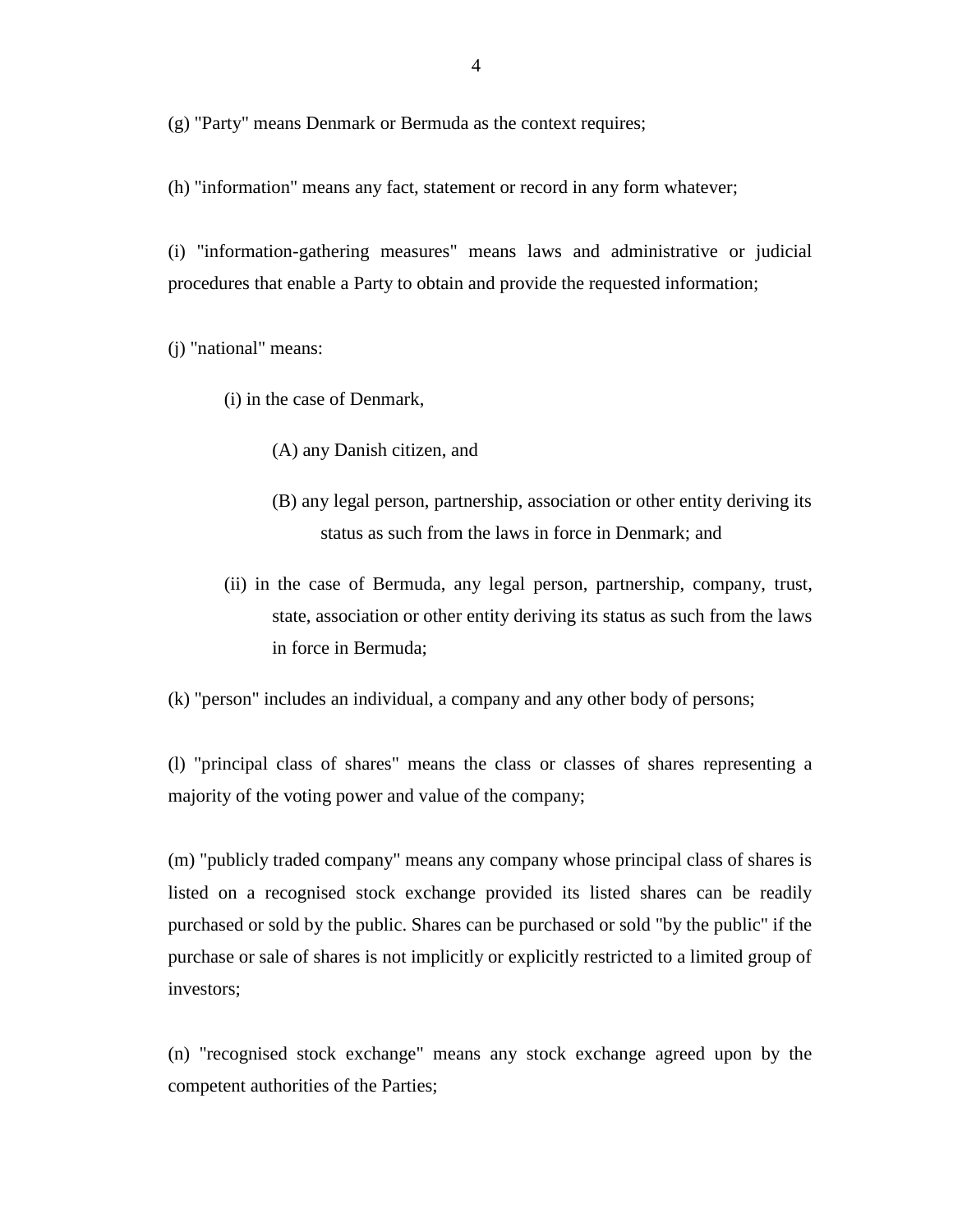(g) "Party" means Denmark or Bermuda as the context requires;

(h) "information" means any fact, statement or record in any form whatever;

(i) "information-gathering measures" means laws and administrative or judicial procedures that enable a Party to obtain and provide the requested information;

(j) "national" means:

(i) in the case of Denmark,

(A) any Danish citizen, and

- (B) any legal person, partnership, association or other entity deriving its status as such from the laws in force in Denmark; and
- (ii) in the case of Bermuda, any legal person, partnership, company, trust, state, association or other entity deriving its status as such from the laws in force in Bermuda;

(k) "person" includes an individual, a company and any other body of persons;

(l) "principal class of shares" means the class or classes of shares representing a majority of the voting power and value of the company;

(m) "publicly traded company" means any company whose principal class of shares is listed on a recognised stock exchange provided its listed shares can be readily purchased or sold by the public. Shares can be purchased or sold "by the public" if the purchase or sale of shares is not implicitly or explicitly restricted to a limited group of investors;

(n) "recognised stock exchange" means any stock exchange agreed upon by the competent authorities of the Parties;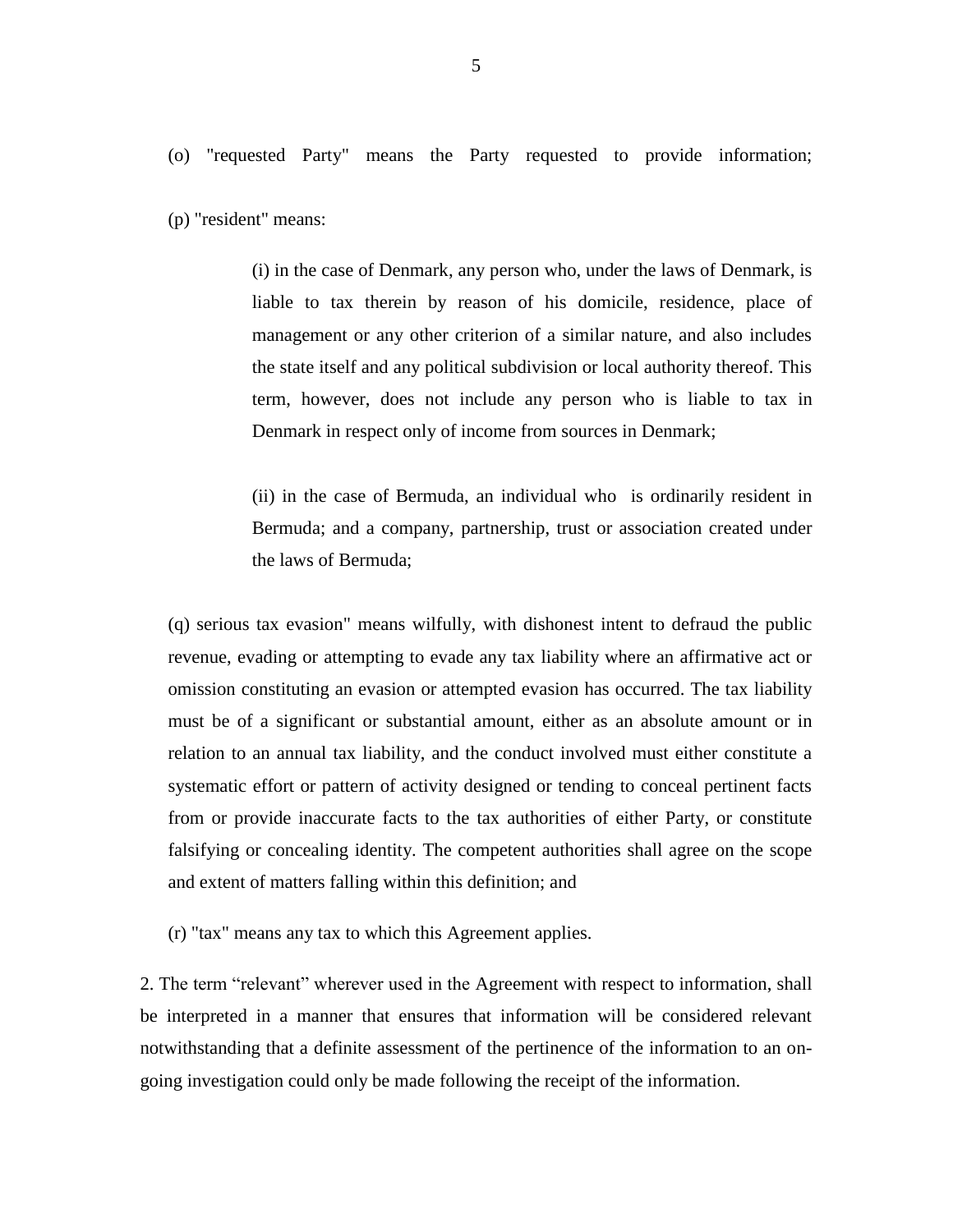(p) "resident" means:

(i) in the case of Denmark, any person who, under the laws of Denmark, is liable to tax therein by reason of his domicile, residence, place of management or any other criterion of a similar nature, and also includes the state itself and any political subdivision or local authority thereof. This term, however, does not include any person who is liable to tax in Denmark in respect only of income from sources in Denmark;

(ii) in the case of Bermuda, an individual who is ordinarily resident in Bermuda; and a company, partnership, trust or association created under the laws of Bermuda;

(q) serious tax evasion" means wilfully, with dishonest intent to defraud the public revenue, evading or attempting to evade any tax liability where an affirmative act or omission constituting an evasion or attempted evasion has occurred. The tax liability must be of a significant or substantial amount, either as an absolute amount or in relation to an annual tax liability, and the conduct involved must either constitute a systematic effort or pattern of activity designed or tending to conceal pertinent facts from or provide inaccurate facts to the tax authorities of either Party, or constitute falsifying or concealing identity. The competent authorities shall agree on the scope and extent of matters falling within this definition; and

(r) "tax" means any tax to which this Agreement applies.

2. The term "relevant" wherever used in the Agreement with respect to information, shall be interpreted in a manner that ensures that information will be considered relevant notwithstanding that a definite assessment of the pertinence of the information to an ongoing investigation could only be made following the receipt of the information.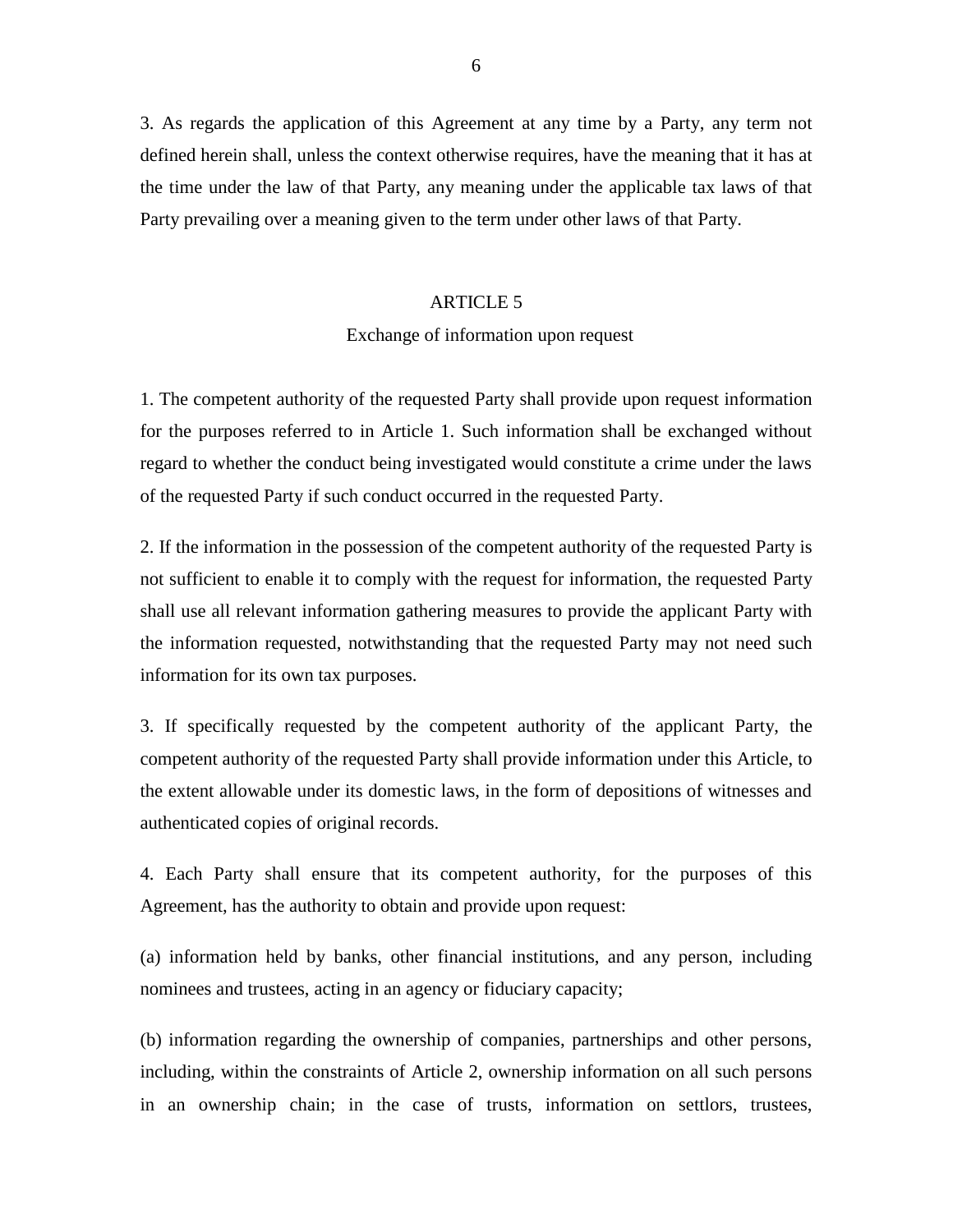3. As regards the application of this Agreement at any time by a Party, any term not defined herein shall, unless the context otherwise requires, have the meaning that it has at the time under the law of that Party, any meaning under the applicable tax laws of that Party prevailing over a meaning given to the term under other laws of that Party.

# ARTICLE 5

# Exchange of information upon request

1. The competent authority of the requested Party shall provide upon request information for the purposes referred to in Article 1. Such information shall be exchanged without regard to whether the conduct being investigated would constitute a crime under the laws of the requested Party if such conduct occurred in the requested Party.

2. If the information in the possession of the competent authority of the requested Party is not sufficient to enable it to comply with the request for information, the requested Party shall use all relevant information gathering measures to provide the applicant Party with the information requested, notwithstanding that the requested Party may not need such information for its own tax purposes.

3. If specifically requested by the competent authority of the applicant Party, the competent authority of the requested Party shall provide information under this Article, to the extent allowable under its domestic laws, in the form of depositions of witnesses and authenticated copies of original records.

4. Each Party shall ensure that its competent authority, for the purposes of this Agreement, has the authority to obtain and provide upon request:

(a) information held by banks, other financial institutions, and any person, including nominees and trustees, acting in an agency or fiduciary capacity;

(b) information regarding the ownership of companies, partnerships and other persons, including, within the constraints of Article 2, ownership information on all such persons in an ownership chain; in the case of trusts, information on settlors, trustees,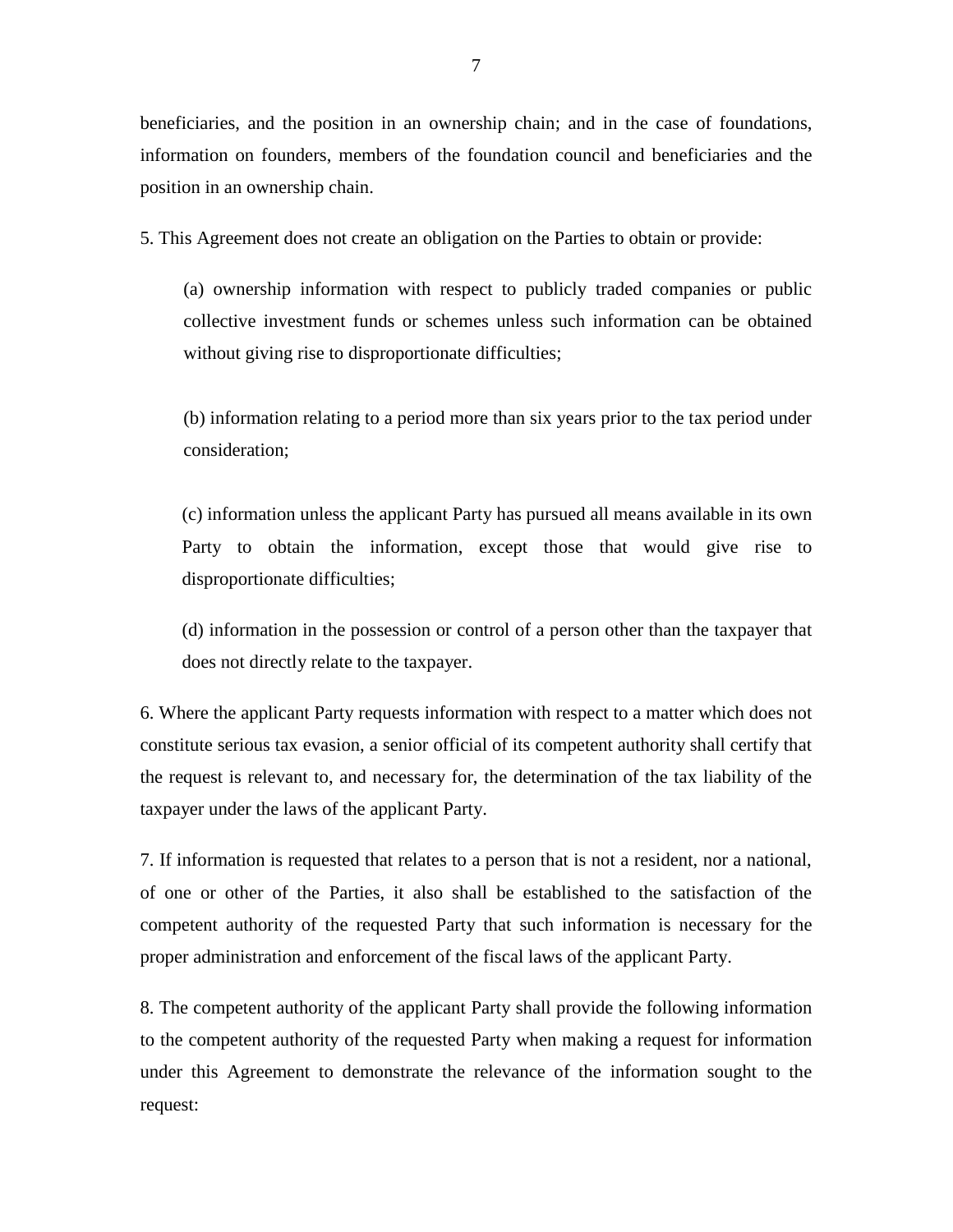beneficiaries, and the position in an ownership chain; and in the case of foundations, information on founders, members of the foundation council and beneficiaries and the position in an ownership chain.

5. This Agreement does not create an obligation on the Parties to obtain or provide:

(a) ownership information with respect to publicly traded companies or public collective investment funds or schemes unless such information can be obtained without giving rise to disproportionate difficulties;

(b) information relating to a period more than six years prior to the tax period under consideration;

(c) information unless the applicant Party has pursued all means available in its own Party to obtain the information, except those that would give rise to disproportionate difficulties;

(d) information in the possession or control of a person other than the taxpayer that does not directly relate to the taxpayer.

6. Where the applicant Party requests information with respect to a matter which does not constitute serious tax evasion, a senior official of its competent authority shall certify that the request is relevant to, and necessary for, the determination of the tax liability of the taxpayer under the laws of the applicant Party.

7. If information is requested that relates to a person that is not a resident, nor a national, of one or other of the Parties, it also shall be established to the satisfaction of the competent authority of the requested Party that such information is necessary for the proper administration and enforcement of the fiscal laws of the applicant Party.

8. The competent authority of the applicant Party shall provide the following information to the competent authority of the requested Party when making a request for information under this Agreement to demonstrate the relevance of the information sought to the request: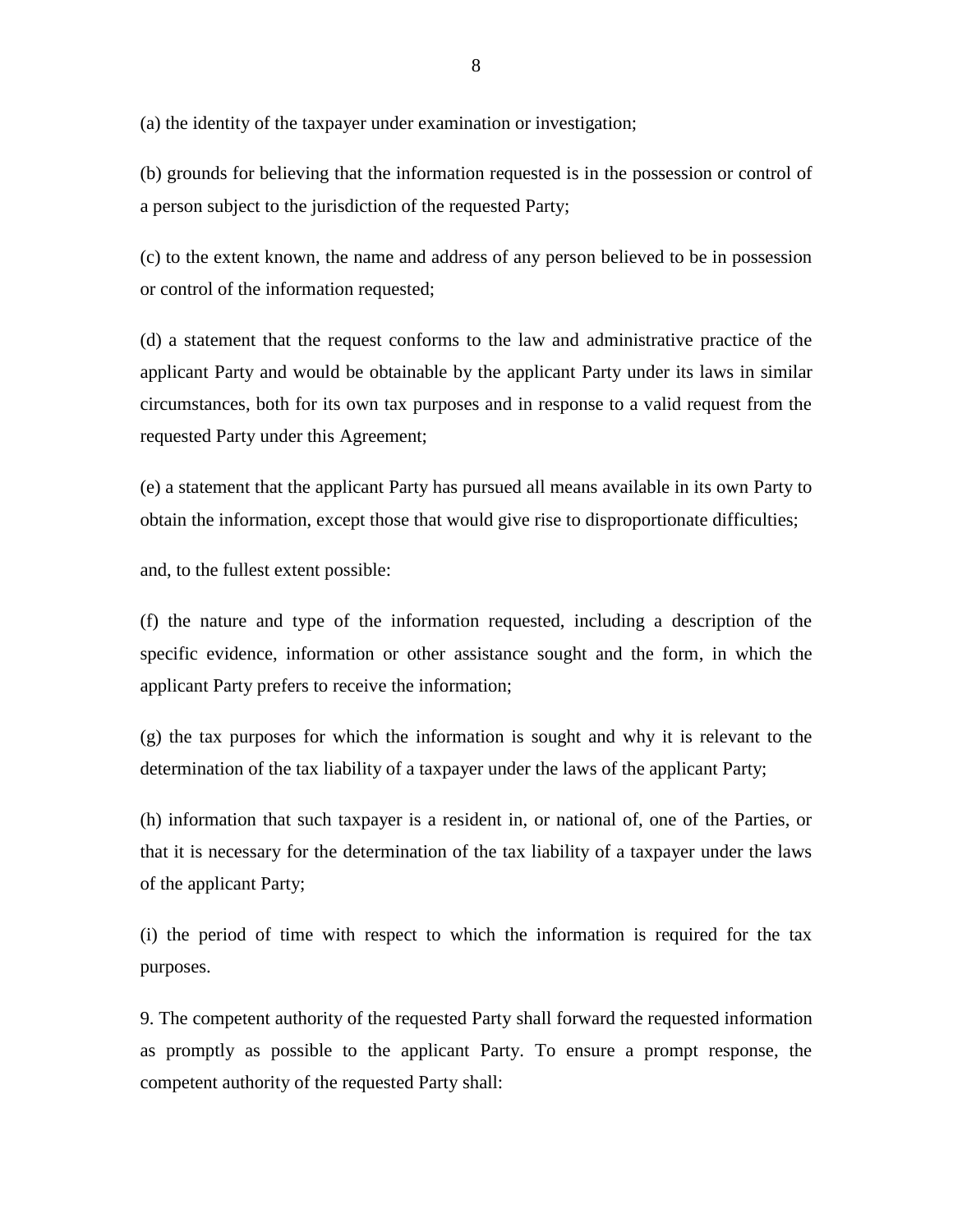(a) the identity of the taxpayer under examination or investigation;

(b) grounds for believing that the information requested is in the possession or control of a person subject to the jurisdiction of the requested Party;

(c) to the extent known, the name and address of any person believed to be in possession or control of the information requested;

(d) a statement that the request conforms to the law and administrative practice of the applicant Party and would be obtainable by the applicant Party under its laws in similar circumstances, both for its own tax purposes and in response to a valid request from the requested Party under this Agreement;

(e) a statement that the applicant Party has pursued all means available in its own Party to obtain the information, except those that would give rise to disproportionate difficulties;

and, to the fullest extent possible:

(f) the nature and type of the information requested, including a description of the specific evidence, information or other assistance sought and the form, in which the applicant Party prefers to receive the information;

(g) the tax purposes for which the information is sought and why it is relevant to the determination of the tax liability of a taxpayer under the laws of the applicant Party;

(h) information that such taxpayer is a resident in, or national of, one of the Parties, or that it is necessary for the determination of the tax liability of a taxpayer under the laws of the applicant Party;

(i) the period of time with respect to which the information is required for the tax purposes.

9. The competent authority of the requested Party shall forward the requested information as promptly as possible to the applicant Party. To ensure a prompt response, the competent authority of the requested Party shall: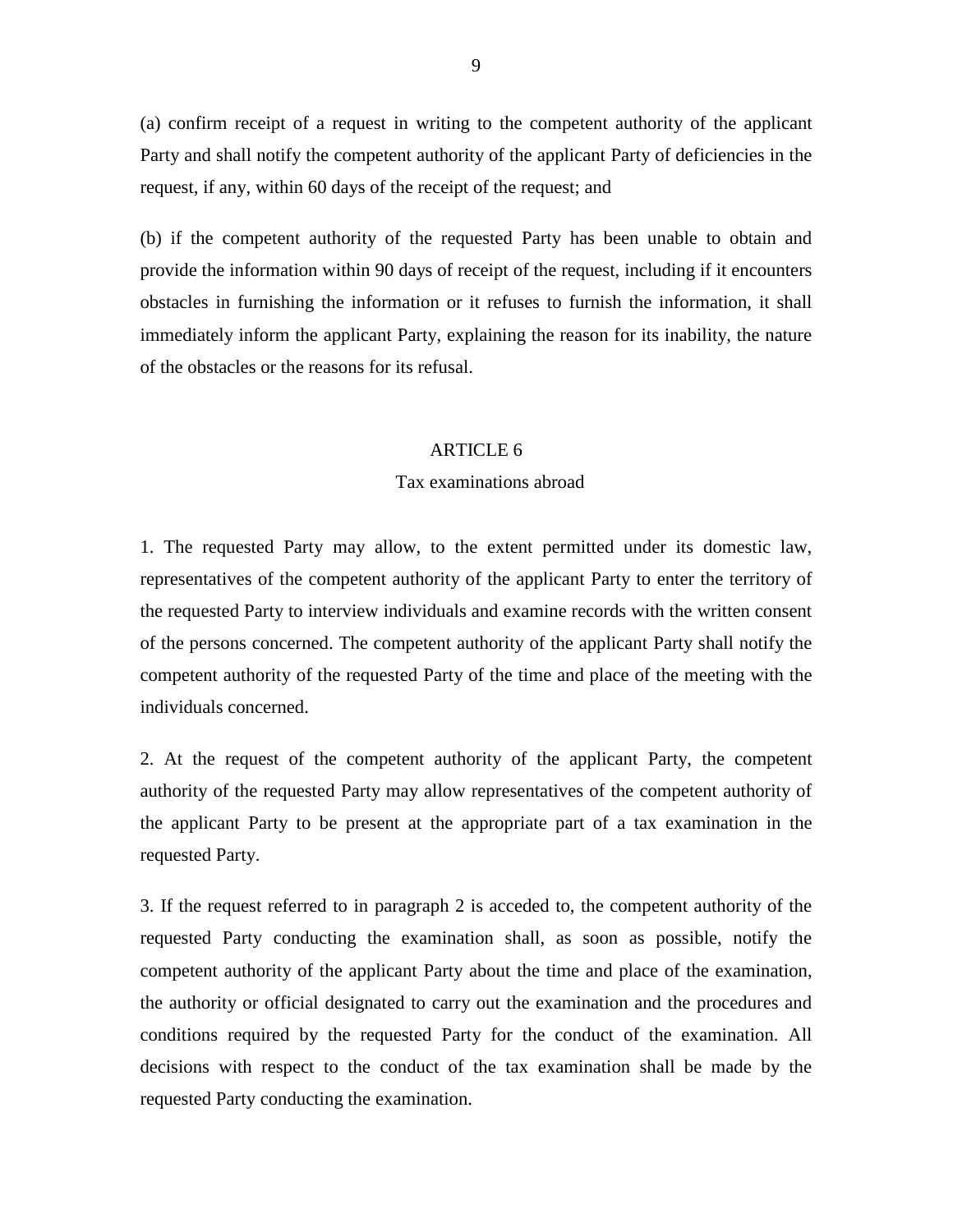(a) confirm receipt of a request in writing to the competent authority of the applicant Party and shall notify the competent authority of the applicant Party of deficiencies in the request, if any, within 60 days of the receipt of the request; and

(b) if the competent authority of the requested Party has been unable to obtain and provide the information within 90 days of receipt of the request, including if it encounters obstacles in furnishing the information or it refuses to furnish the information, it shall immediately inform the applicant Party, explaining the reason for its inability, the nature of the obstacles or the reasons for its refusal.

#### ARTICLE 6

# Tax examinations abroad

1. The requested Party may allow, to the extent permitted under its domestic law, representatives of the competent authority of the applicant Party to enter the territory of the requested Party to interview individuals and examine records with the written consent of the persons concerned. The competent authority of the applicant Party shall notify the competent authority of the requested Party of the time and place of the meeting with the individuals concerned.

2. At the request of the competent authority of the applicant Party, the competent authority of the requested Party may allow representatives of the competent authority of the applicant Party to be present at the appropriate part of a tax examination in the requested Party.

3. If the request referred to in paragraph 2 is acceded to, the competent authority of the requested Party conducting the examination shall, as soon as possible, notify the competent authority of the applicant Party about the time and place of the examination, the authority or official designated to carry out the examination and the procedures and conditions required by the requested Party for the conduct of the examination. All decisions with respect to the conduct of the tax examination shall be made by the requested Party conducting the examination.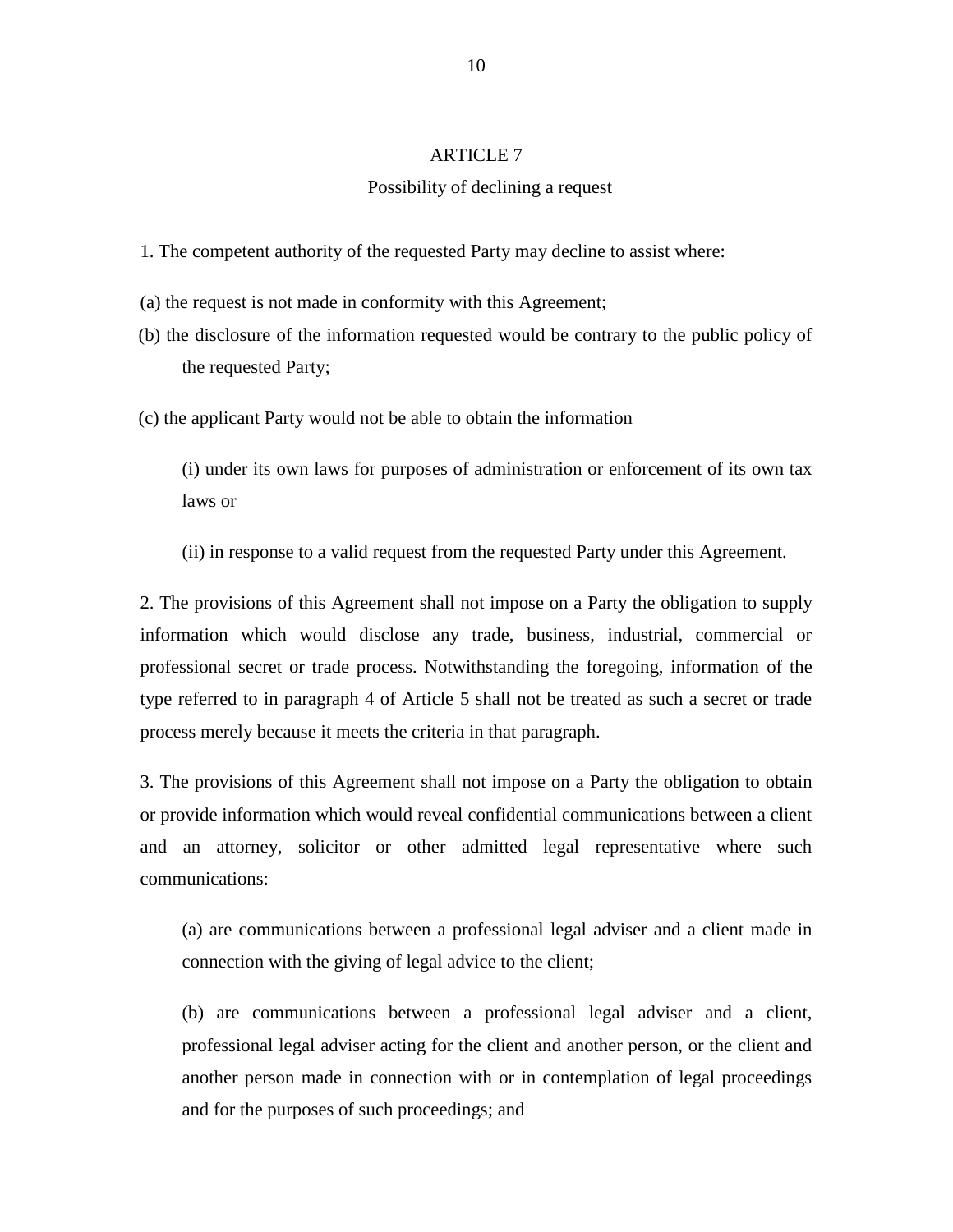# ARTICLE 7

# Possibility of declining a request

- 1. The competent authority of the requested Party may decline to assist where:
- (a) the request is not made in conformity with this Agreement;
- (b) the disclosure of the information requested would be contrary to the public policy of the requested Party;
- (c) the applicant Party would not be able to obtain the information

(i) under its own laws for purposes of administration or enforcement of its own tax laws or

(ii) in response to a valid request from the requested Party under this Agreement.

2. The provisions of this Agreement shall not impose on a Party the obligation to supply information which would disclose any trade, business, industrial, commercial or professional secret or trade process. Notwithstanding the foregoing, information of the type referred to in paragraph 4 of Article 5 shall not be treated as such a secret or trade process merely because it meets the criteria in that paragraph.

3. The provisions of this Agreement shall not impose on a Party the obligation to obtain or provide information which would reveal confidential communications between a client and an attorney, solicitor or other admitted legal representative where such communications:

(a) are communications between a professional legal adviser and a client made in connection with the giving of legal advice to the client;

(b) are communications between a professional legal adviser and a client, professional legal adviser acting for the client and another person, or the client and another person made in connection with or in contemplation of legal proceedings and for the purposes of such proceedings; and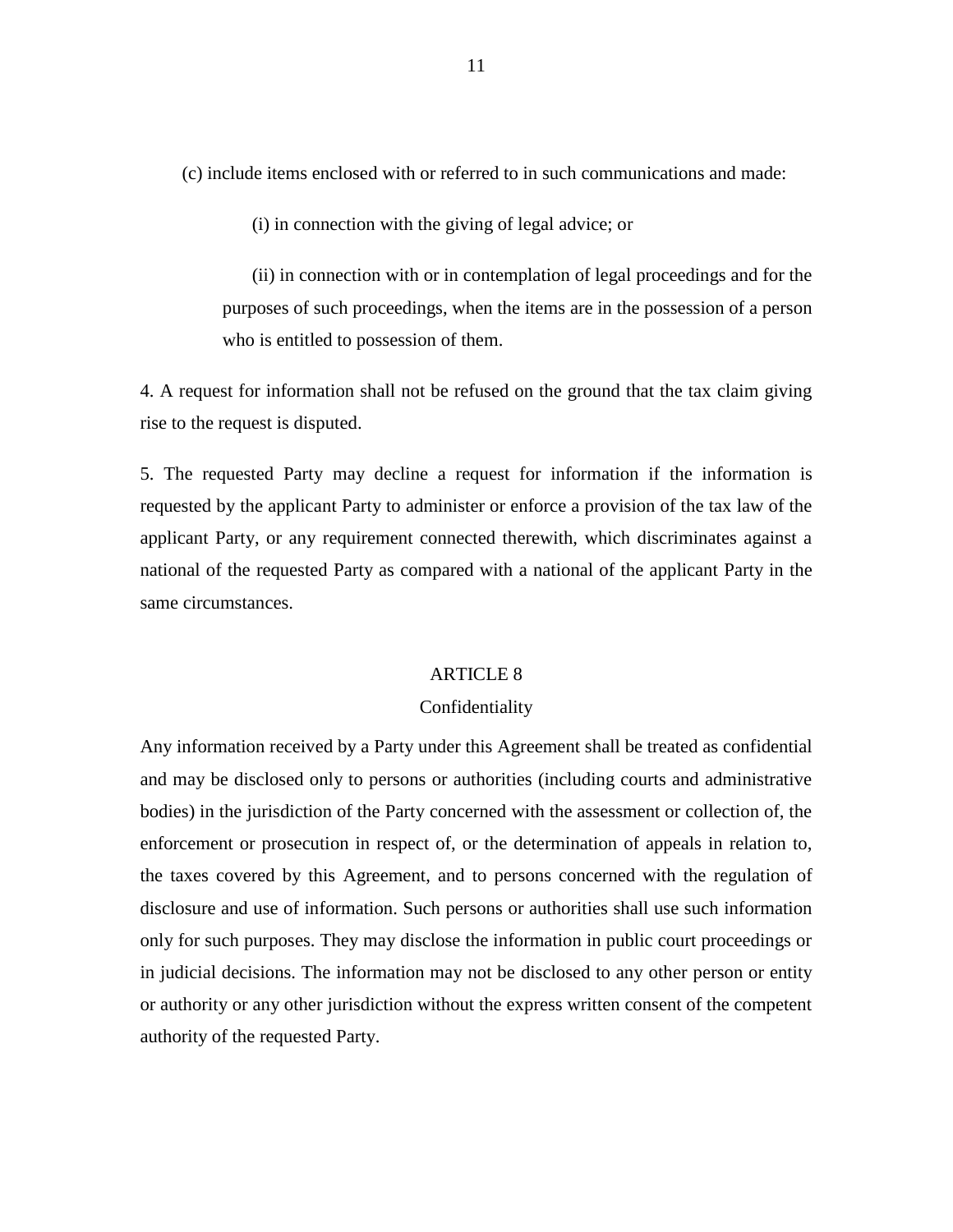(c) include items enclosed with or referred to in such communications and made:

(i) in connection with the giving of legal advice; or

(ii) in connection with or in contemplation of legal proceedings and for the purposes of such proceedings, when the items are in the possession of a person who is entitled to possession of them.

4. A request for information shall not be refused on the ground that the tax claim giving rise to the request is disputed.

5. The requested Party may decline a request for information if the information is requested by the applicant Party to administer or enforce a provision of the tax law of the applicant Party, or any requirement connected therewith, which discriminates against a national of the requested Party as compared with a national of the applicant Party in the same circumstances.

# ARTICLE 8

#### Confidentiality

Any information received by a Party under this Agreement shall be treated as confidential and may be disclosed only to persons or authorities (including courts and administrative bodies) in the jurisdiction of the Party concerned with the assessment or collection of, the enforcement or prosecution in respect of, or the determination of appeals in relation to, the taxes covered by this Agreement, and to persons concerned with the regulation of disclosure and use of information. Such persons or authorities shall use such information only for such purposes. They may disclose the information in public court proceedings or in judicial decisions. The information may not be disclosed to any other person or entity or authority or any other jurisdiction without the express written consent of the competent authority of the requested Party.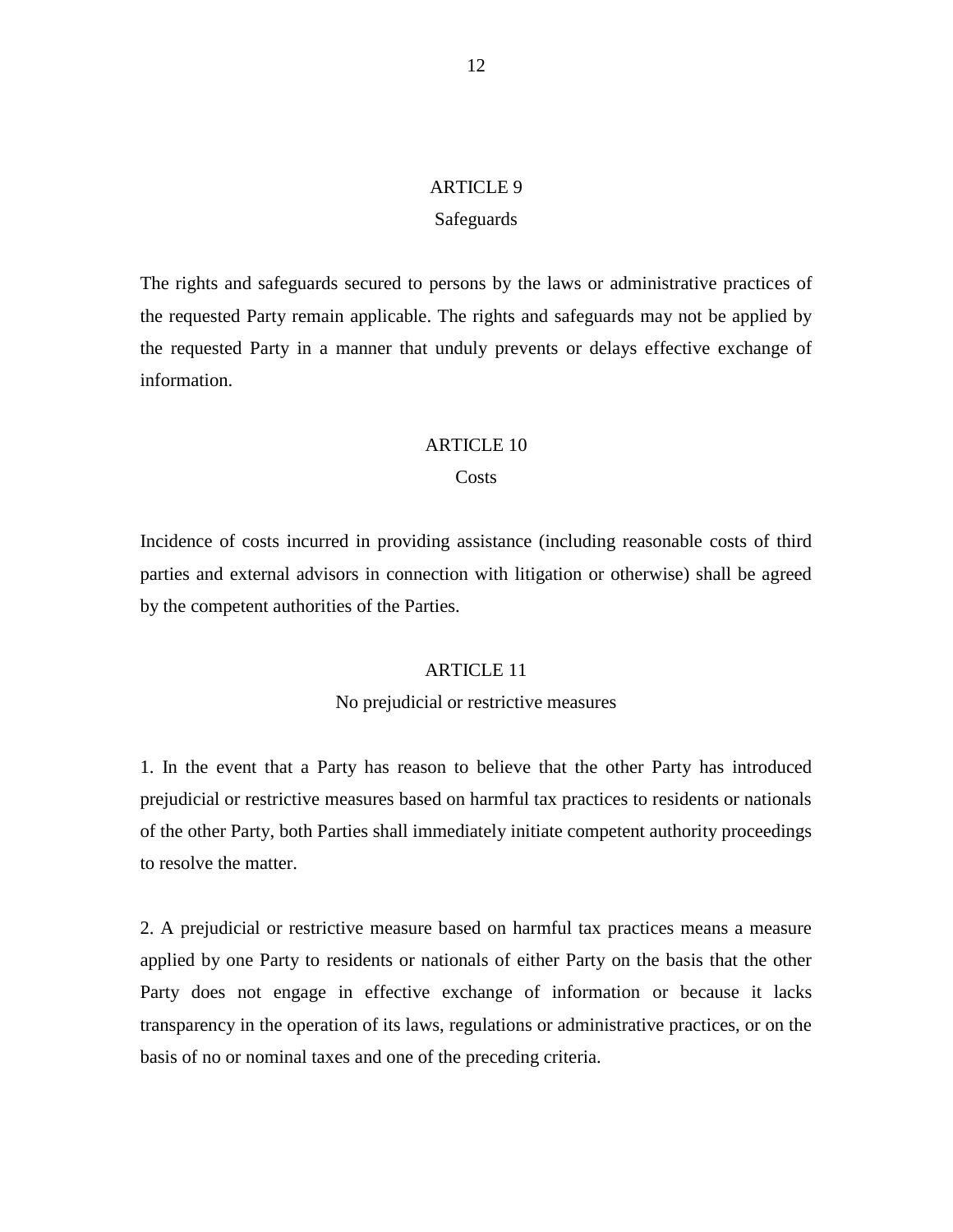# ARTICLE 9

#### **Safeguards**

The rights and safeguards secured to persons by the laws or administrative practices of the requested Party remain applicable. The rights and safeguards may not be applied by the requested Party in a manner that unduly prevents or delays effective exchange of information.

# ARTICLE 10

# **Costs**

Incidence of costs incurred in providing assistance (including reasonable costs of third parties and external advisors in connection with litigation or otherwise) shall be agreed by the competent authorities of the Parties.

# ARTICLE 11

# No prejudicial or restrictive measures

1. In the event that a Party has reason to believe that the other Party has introduced prejudicial or restrictive measures based on harmful tax practices to residents or nationals of the other Party, both Parties shall immediately initiate competent authority proceedings to resolve the matter.

2. A prejudicial or restrictive measure based on harmful tax practices means a measure applied by one Party to residents or nationals of either Party on the basis that the other Party does not engage in effective exchange of information or because it lacks transparency in the operation of its laws, regulations or administrative practices, or on the basis of no or nominal taxes and one of the preceding criteria.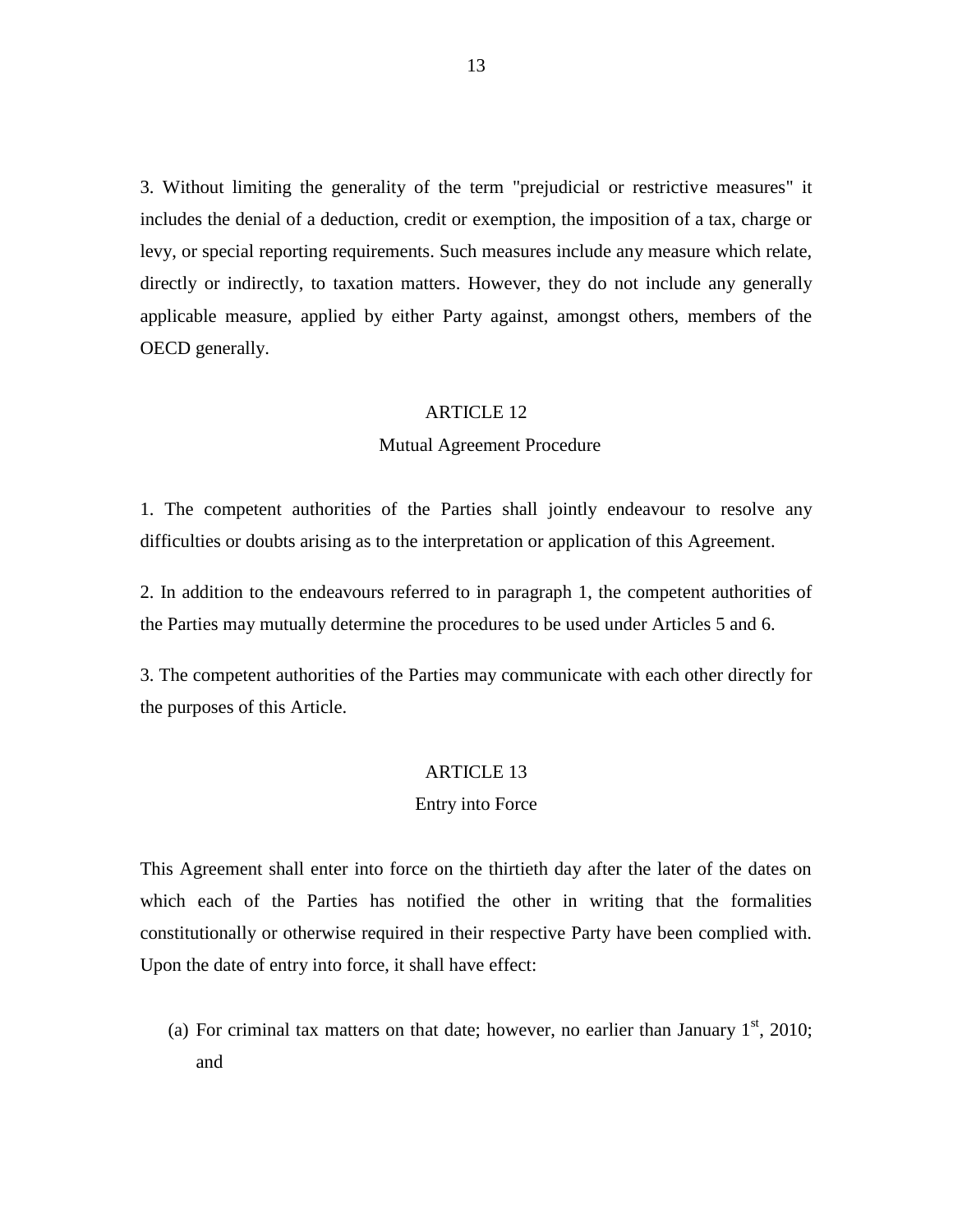3. Without limiting the generality of the term "prejudicial or restrictive measures" it includes the denial of a deduction, credit or exemption, the imposition of a tax, charge or levy, or special reporting requirements. Such measures include any measure which relate, directly or indirectly, to taxation matters. However, they do not include any generally applicable measure, applied by either Party against, amongst others, members of the OECD generally.

#### ARTICLE 12

### Mutual Agreement Procedure

1. The competent authorities of the Parties shall jointly endeavour to resolve any difficulties or doubts arising as to the interpretation or application of this Agreement.

2. In addition to the endeavours referred to in paragraph 1, the competent authorities of the Parties may mutually determine the procedures to be used under Articles 5 and 6.

3. The competent authorities of the Parties may communicate with each other directly for the purposes of this Article.

# ARTICLE 13

# Entry into Force

This Agreement shall enter into force on the thirtieth day after the later of the dates on which each of the Parties has notified the other in writing that the formalities constitutionally or otherwise required in their respective Party have been complied with. Upon the date of entry into force, it shall have effect:

(a) For criminal tax matters on that date; however, no earlier than January  $1<sup>st</sup>$ , 2010; and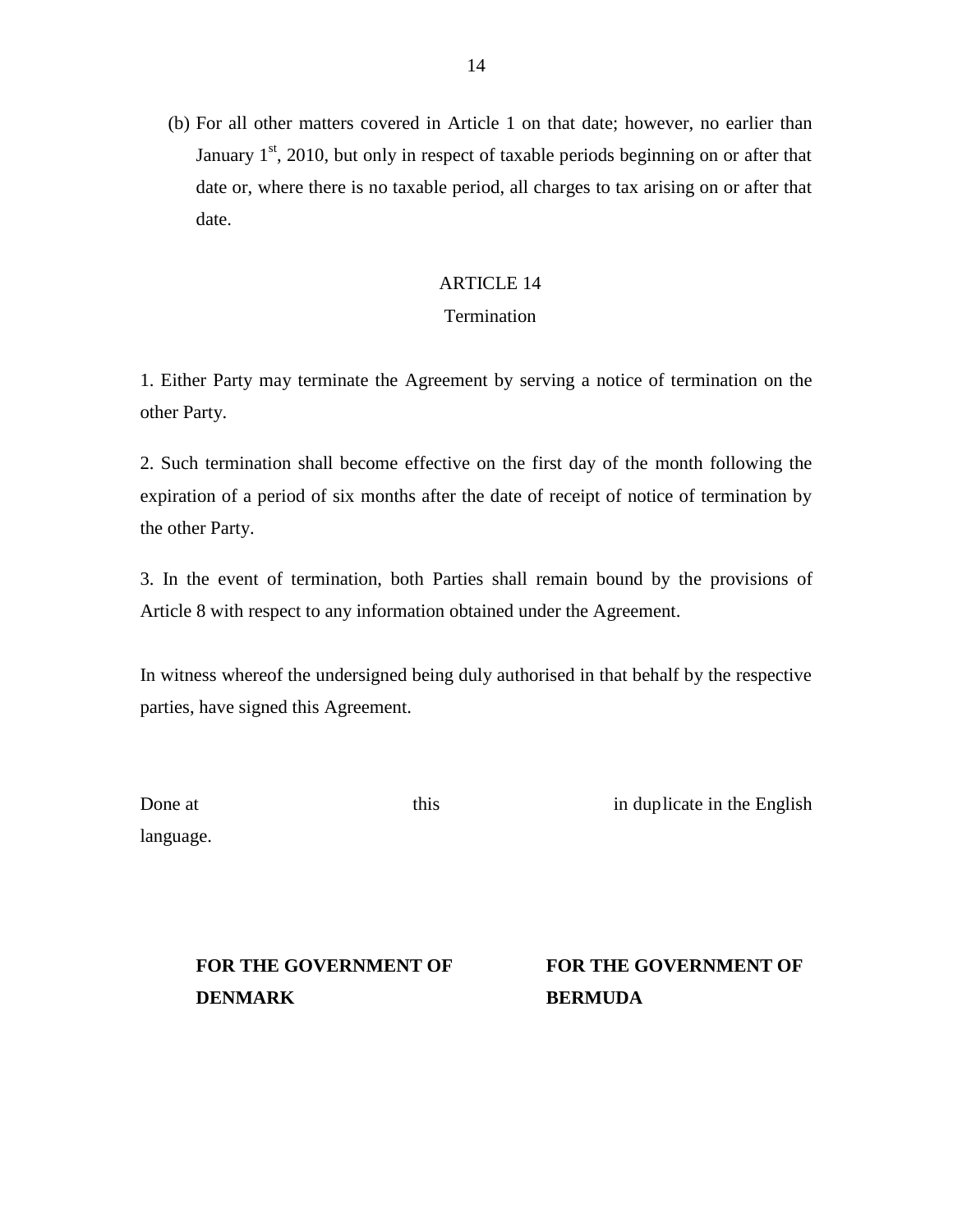(b) For all other matters covered in Article 1 on that date; however, no earlier than January  $1<sup>st</sup>$ , 2010, but only in respect of taxable periods beginning on or after that date or, where there is no taxable period, all charges to tax arising on or after that date.

# ARTICLE 14

# Termination

1. Either Party may terminate the Agreement by serving a notice of termination on the other Party.

2. Such termination shall become effective on the first day of the month following the expiration of a period of six months after the date of receipt of notice of termination by the other Party.

3. In the event of termination, both Parties shall remain bound by the provisions of Article 8 with respect to any information obtained under the Agreement.

In witness whereof the undersigned being duly authorised in that behalf by the respective parties, have signed this Agreement.

| Done at   |  |
|-----------|--|
| language. |  |

this in duplicate in the English

FOR THE GOVERNMENT OF FOR THE GOVERNMENT OF **DENMARK BERMUDA**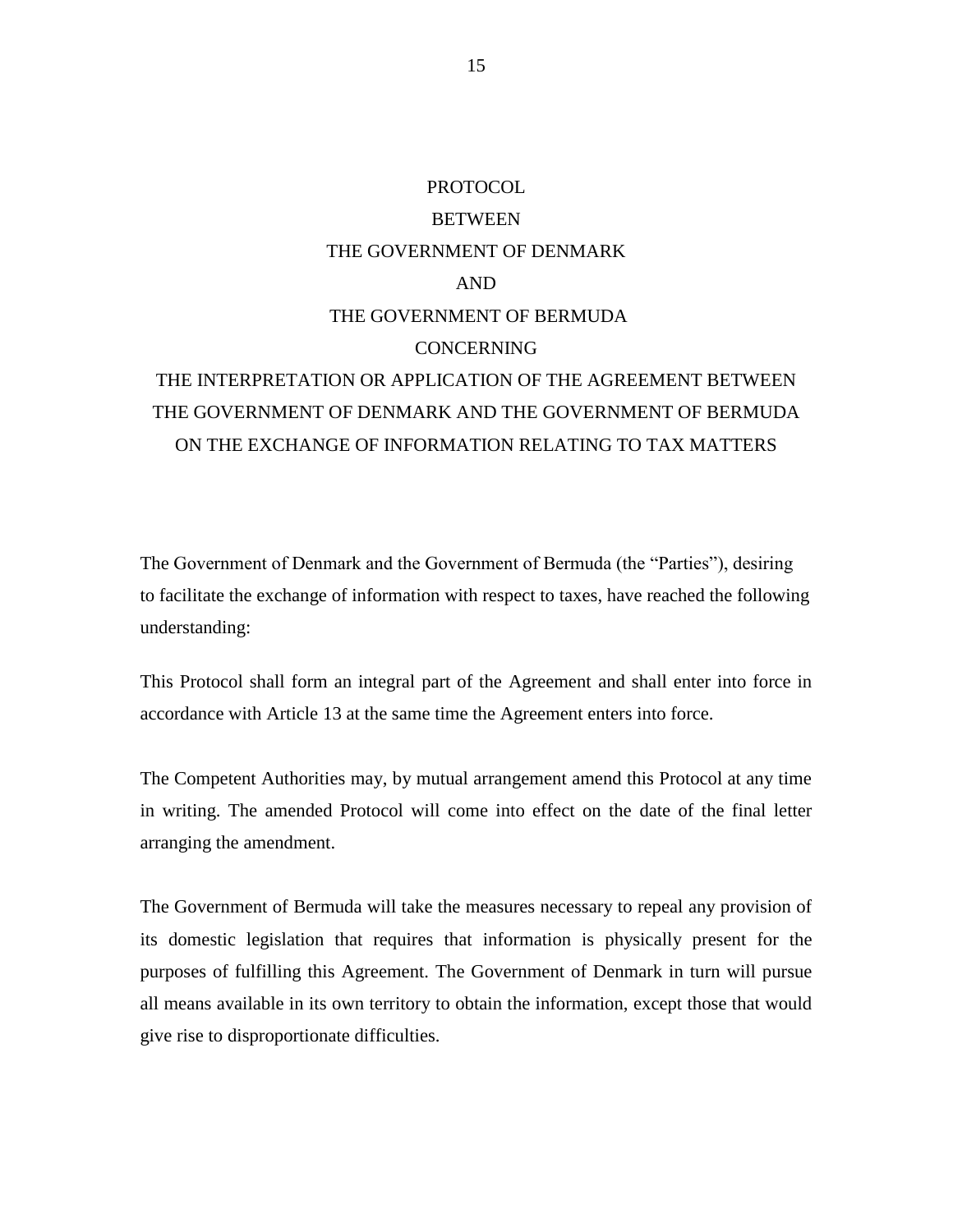# PROTOCOL **BETWEEN** THE GOVERNMENT OF DENMARK AND THE GOVERNMENT OF BERMUDA CONCERNING THE INTERPRETATION OR APPLICATION OF THE AGREEMENT BETWEEN THE GOVERNMENT OF DENMARK AND THE GOVERNMENT OF BERMUDA ON THE EXCHANGE OF INFORMATION RELATING TO TAX MATTERS

The Government of Denmark and the Government of Bermuda (the "Parties"), desiring to facilitate the exchange of information with respect to taxes, have reached the following understanding:

This Protocol shall form an integral part of the Agreement and shall enter into force in accordance with Article 13 at the same time the Agreement enters into force.

The Competent Authorities may, by mutual arrangement amend this Protocol at any time in writing. The amended Protocol will come into effect on the date of the final letter arranging the amendment.

The Government of Bermuda will take the measures necessary to repeal any provision of its domestic legislation that requires that information is physically present for the purposes of fulfilling this Agreement. The Government of Denmark in turn will pursue all means available in its own territory to obtain the information, except those that would give rise to disproportionate difficulties.

15